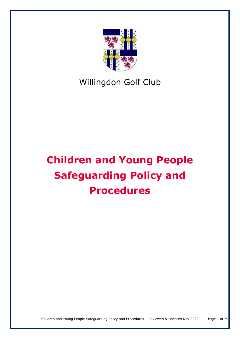

# Willingdon Golf Club

# **Children and Young People Safeguarding Policy and Procedures**

Children and Young People Safeguarding Policy and Procedures – Reviewed & Updated Nov 2020 Page 1 of 69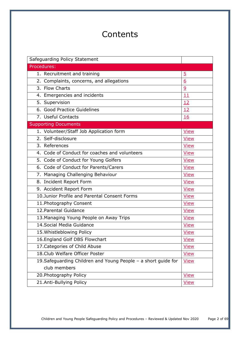# **Contents**

| Safeguarding Policy Statement                                  |             |
|----------------------------------------------------------------|-------------|
| Procedures:                                                    |             |
| 1. Recruitment and training                                    | <u>5</u>    |
| 2. Complaints, concerns, and allegations                       | 6           |
| 3. Flow Charts                                                 | 9           |
| 4. Emergencies and incidents                                   | 11          |
| 5. Supervision                                                 | 12          |
| 6. Good Practice Guidelines                                    | 12          |
| 7. Useful Contacts                                             | <b>16</b>   |
| <b>Supporting Documents</b>                                    |             |
| 1. Volunteer/Staff Job Application form                        | <b>View</b> |
| 2. Self-disclosure                                             | <b>View</b> |
| 3. References                                                  | <b>View</b> |
| 4. Code of Conduct for coaches and volunteers                  | <b>View</b> |
| 5. Code of Conduct for Young Golfers                           | <b>View</b> |
| 6. Code of Conduct for Parents/Carers                          | <b>View</b> |
| 7. Managing Challenging Behaviour                              | <b>View</b> |
| 8. Incident Report Form                                        | <b>View</b> |
| 9. Accident Report Form                                        | <b>View</b> |
| 10.Junior Profile and Parental Consent Forms                   | <b>View</b> |
| 11. Photography Consent                                        | <b>View</b> |
| 12. Parental Guidance                                          | <b>View</b> |
| 13. Managing Young People on Away Trips                        | <b>View</b> |
| 14. Social Media Guidance                                      | <b>View</b> |
| 15. Whistleblowing Policy                                      | <b>View</b> |
| 16. England Golf DBS Flowchart                                 | <b>View</b> |
| 17. Categories of Child Abuse                                  | <b>View</b> |
| 18. Club Welfare Officer Poster                                | <b>View</b> |
| 19. Safeguarding Children and Young People - a short guide for | <b>View</b> |
| club members                                                   |             |
| 20. Photography Policy                                         | <b>View</b> |
| 21.Anti-Bullying Policy                                        | <b>View</b> |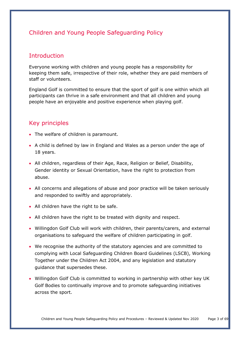# Children and Young People Safeguarding Policy

# Introduction

Everyone working with children and young people has a responsibility for keeping them safe, irrespective of their role, whether they are paid members of staff or volunteers.

England Golf is committed to ensure that the sport of golf is one within which all participants can thrive in a safe environment and that all children and young people have an enjoyable and positive experience when playing golf.

# Key principles

- The welfare of children is paramount.
- A child is defined by law in England and Wales as a person under the age of 18 years.
- All children, regardless of their Age, Race, Religion or Belief, Disability, Gender identity or Sexual Orientation, have the right to protection from abuse.
- All concerns and allegations of abuse and poor practice will be taken seriously and responded to swiftly and appropriately.
- All children have the right to be safe.
- All children have the right to be treated with dignity and respect.
- Willingdon Golf Club will work with children, their parents/carers, and external organisations to safeguard the welfare of children participating in golf.
- We recognise the authority of the statutory agencies and are committed to complying with Local Safeguarding Children Board Guidelines (LSCB), Working Together under the Children Act 2004, and any legislation and statutory guidance that supersedes these.
- Willingdon Golf Club is committed to working in partnership with other key UK Golf Bodies to continually improve and to promote safeguarding initiatives across the sport.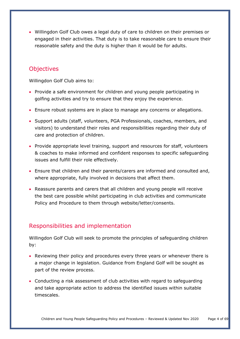• Willingdon Golf Club owes a legal duty of care to children on their premises or engaged in their activities. That duty is to take reasonable care to ensure their reasonable safety and the duty is higher than it would be for adults.

# **Objectives**

Willingdon Golf Club aims to:

- Provide a safe environment for children and young people participating in golfing activities and try to ensure that they enjoy the experience.
- Ensure robust systems are in place to manage any concerns or allegations.
- Support adults (staff, volunteers, PGA Professionals, coaches, members, and visitors) to understand their roles and responsibilities regarding their duty of care and protection of children.
- Provide appropriate level training, support and resources for staff, volunteers & coaches to make informed and confident responses to specific safeguarding issues and fulfill their role effectively.
- Ensure that children and their parents/carers are informed and consulted and, where appropriate, fully involved in decisions that affect them.
- Reassure parents and carers that all children and young people will receive the best care possible whilst participating in club activities and communicate Policy and Procedure to them through website/letter/consents.

# Responsibilities and implementation

Willingdon Golf Club will seek to promote the principles of safeguarding children by:

- Reviewing their policy and procedures every three years or whenever there is a major change in legislation. Guidance from England Golf will be sought as part of the review process.
- Conducting a risk assessment of club activities with regard to safeguarding and take appropriate action to address the identified issues within suitable timescales.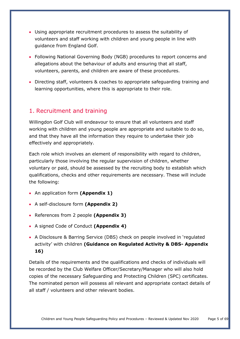- Using appropriate recruitment procedures to assess the suitability of volunteers and staff working with children and young people in line with guidance from England Golf.
- Following National Governing Body (NGB) procedures to report concerns and allegations about the behaviour of adults and ensuring that all staff, volunteers, parents, and children are aware of these procedures.
- Directing staff, volunteers & coaches to appropriate safeguarding training and learning opportunities, where this is appropriate to their role.

# <span id="page-4-0"></span>1. Recruitment and training

Willingdon Golf Club will endeavour to ensure that all volunteers and staff working with children and young people are appropriate and suitable to do so, and that they have all the information they require to undertake their job effectively and appropriately.

Each role which involves an element of responsibility with regard to children, particularly those involving the regular supervision of children, whether voluntary or paid, should be assessed by the recruiting body to establish which qualifications, checks and other requirements are necessary. These will include the following:

- An application form **(Appendix 1)**
- A self-disclosure form **(Appendix 2)**
- References from 2 people **(Appendix 3)**
- A signed Code of Conduct **(Appendix 4)**
- A Disclosure & Barring Service (DBS) check on people involved in 'regulated activity' with children **(Guidance on Regulated Activity & DBS- Appendix 16)**

Details of the requirements and the qualifications and checks of individuals will be recorded by the Club Welfare Officer/Secretary/Manager who will also hold copies of the necessary Safeguarding and Protecting Children (SPC) certificates. The nominated person will possess all relevant and appropriate contact details of all staff / volunteers and other relevant bodies.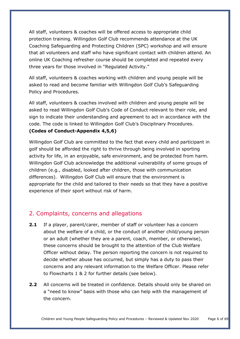All staff, volunteers & coaches will be offered access to appropriate child protection training. Willingdon Golf Club recommends attendance at the UK Coaching Safeguarding and Protecting Children (SPC) workshop and will ensure that all volunteers and staff who have significant contact with children attend. An online UK Coaching refresher course should be completed and repeated every three years for those involved in "Regulated Activity."

All staff, volunteers & coaches working with children and young people will be asked to read and become familiar with Willingdon Golf Club's Safeguarding Policy and Procedures.

All staff, volunteers & coaches involved with children and young people will be asked to read Willingdon Golf Club's Code of Conduct relevant to their role, and sign to indicate their understanding and agreement to act in accordance with the code. The code is linked to Willingdon Golf Club's Disciplinary Procedures. **(Codes of Conduct-Appendix 4,5,6)**

Willingdon Golf Club are committed to the fact that every child and participant in golf should be afforded the right to thrive through being involved in sporting activity for life, in an enjoyable, safe environment, and be protected from harm. Willingdon Golf Club acknowledge the additional vulnerability of some groups of children (e.g., disabled, looked after children, those with communication differences). Willingdon Golf Club will ensure that the environment is appropriate for the child and tailored to their needs so that they have a positive experience of their sport without risk of harm.

# <span id="page-5-0"></span>2. Complaints, concerns and allegations

- **2.1** If a player, parent/carer, member of staff or volunteer has a concern about the welfare of a child, or the conduct of another child/young person or an adult (whether they are a parent, coach, member, or otherwise), these concerns should be brought to the attention of the Club Welfare Officer without delay. The person reporting the concern is not required to decide whether abuse has occurred, but simply has a duty to pass their concerns and any relevant information to the Welfare Officer. Please refer to Flowcharts 1 & 2 for further details (see below).
- **2.2** All concerns will be treated in confidence. Details should only be shared on a "need to know" basis with those who can help with the management of the concern.

Children and Young People Safeguarding Policy and Procedures – Reviewed & Updated Nov 2020 Page 6 of 69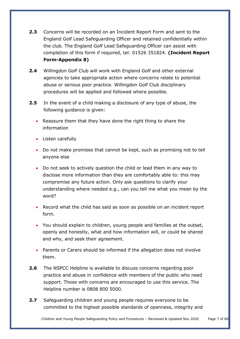- **2.3** Concerns will be recorded on an Incident Report Form and sent to the England Golf Lead Safeguarding Officer and retained confidentially within the club. The England Golf Lead Safeguarding Officer can assist with completion of this form if required, tel: 01526 351824. **(Incident Report Form-Appendix 8)**
- **2.4** Willingdon Golf Club will work with England Golf and other external agencies to take appropriate action where concerns relate to potential abuse or serious poor practice. Willingdon Golf Club disciplinary procedures will be applied and followed where possible.
- **2.5** In the event of a child making a disclosure of any type of abuse, the following guidance is given:
	- Reassure them that they have done the right thing to share the information
	- Listen carefully
	- Do not make promises that cannot be kept, such as promising not to tell anyone else
	- Do not seek to actively question the child or lead them in any way to disclose more information than they are comfortably able to: this may compromise any future action. Only ask questions to clarify your understanding where needed e.g., can you tell me what you mean by the word?
	- Record what the child has said as soon as possible on an incident report form.
	- You should explain to children, young people and families at the outset, openly and honestly, what and how information will, or could be shared and why, and seek their agreement.
	- Parents or Carers should be informed if the allegation does not involve them.
- **2.6** The NSPCC Helpline is available to discuss concerns regarding poor practice and abuse in confidence with members of the public who need support. Those with concerns are encouraged to use this service. The Helpline number is 0808 800 5000.
- **2.7** Safeguarding children and young people requires everyone to be committed to the highest possible standards of openness, integrity and

Children and Young People Safeguarding Policy and Procedures – Reviewed & Updated Nov 2020 Page 7 of 69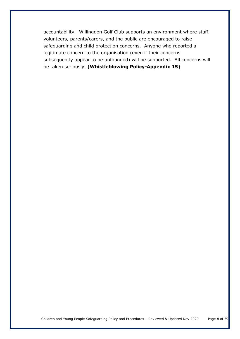<span id="page-7-0"></span>accountability. Willingdon Golf Club supports an environment where staff, volunteers, parents/carers, and the public are encouraged to raise safeguarding and child protection concerns. Anyone who reported a legitimate concern to the organisation (even if their concerns subsequently appear to be unfounded) will be supported. All concerns will be taken seriously. **(Whistleblowing Policy-Appendix 15)**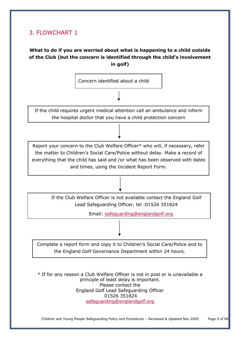# 3. FLOWCHART 1

# **What to do if you are worried about what is happening to a child outside of the Club (but the concern is identified through the child's involvement in golf)**



If the child requires urgent medical attention call an ambulance and inform the hospital doctor that you have a child protection concern

Report your concern to the Club Welfare Officer\* who will, if necessary, refer the matter to Children's Social Care/Police without delay. Make a record of everything that the child has said and /or what has been observed with dates and times, using the Incident Report Form.

If the Club Welfare Officer is not available contact the England Golf Lead Safeguarding Officer, tel :01526 351824

or refer the matter directly to Children's Social Care/Police.

Remember - delay may place the child at further risk.

Email: [safeguarding@englandgolf.org](mailto:safeguarding@englandgolf.org)

Complete a report form and copy it to Children's Social Care/Police and to the England Golf Governance Department within 24 hours.

\* If for any reason a Club Welfare Officer is not in post or is unavailable a principle of least delay is important. Please contact the England Golf Lead Safeguarding Officer 01526 351824 [safeguarding@englandgolf.org](mailto:safeguarding@englandgolf.org)

Children and Young People Safeguarding Policy and Procedures – Reviewed & Updated Nov 2020 Page 9 of 69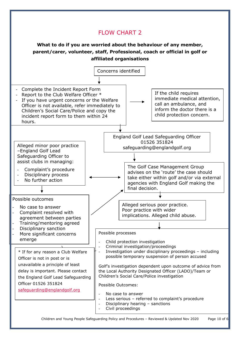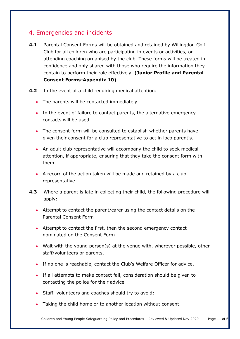# <span id="page-10-0"></span>4. Emergencies and incidents

- **4.1** Parental Consent Forms will be obtained and retained by Willingdon Golf Club for all children who are participating in events or activities, or attending coaching organised by the club. These forms will be treated in confidence and only shared with those who require the information they contain to perform their role effectively. **(Junior Profile and Parental Consent Forms-Appendix 10)**
- **4.2** In the event of a child requiring medical attention:
	- The parents will be contacted immediately.
	- In the event of failure to contact parents, the alternative emergency contacts will be used.
	- The consent form will be consulted to establish whether parents have given their consent for a club representative to act in loco parentis.
	- An adult club representative will accompany the child to seek medical attention, if appropriate, ensuring that they take the consent form with them.
	- A record of the action taken will be made and retained by a club representative.
- **4.3** Where a parent is late in collecting their child, the following procedure will apply:
	- Attempt to contact the parent/carer using the contact details on the Parental Consent Form
	- Attempt to contact the first, then the second emergency contact nominated on the Consent Form
	- Wait with the young person(s) at the venue with, wherever possible, other staff/volunteers or parents.
	- If no one is reachable, contact the Club's Welfare Officer for advice.
	- If all attempts to make contact fail, consideration should be given to contacting the police for their advice.
	- Staff, volunteers and coaches should try to avoid:
	- Taking the child home or to another location without consent.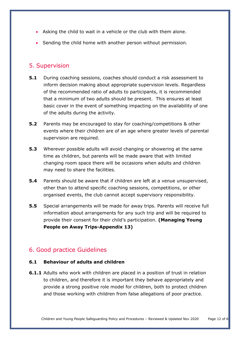- Asking the child to wait in a vehicle or the club with them alone.
- Sending the child home with another person without permission.

# <span id="page-11-0"></span>5. Supervision

- **5.1** During coaching sessions, coaches should conduct a risk assessment to inform decision making about appropriate supervision levels. Regardless of the recommended ratio of adults to participants, it is recommended that a minimum of two adults should be present. This ensures at least basic cover in the event of something impacting on the availability of one of the adults during the activity.
- **5.2** Parents may be encouraged to stay for coaching/competitions & other events where their children are of an age where greater levels of parental supervision are required.
- **5.3** Wherever possible adults will avoid changing or showering at the same time as children, but parents will be made aware that with limited changing room space there will be occasions when adults and children may need to share the facilities.
- **5.4** Parents should be aware that if children are left at a venue unsupervised, other than to attend specific coaching sessions, competitions, or other organised events, the club cannot accept supervisory responsibility.
- **5.5** Special arrangements will be made for away trips. Parents will receive full information about arrangements for any such trip and will be required to provide their consent for their child's participation. **(Managing Young People on Away Trips-Appendix 13)**

# <span id="page-11-1"></span>6. Good practice Guidelines

## **6.1 Behaviour of adults and children**

**6.1.1** Adults who work with children are placed in a position of trust in relation to children, and therefore it is important they behave appropriately and provide a strong positive role model for children, both to protect children and those working with children from false allegations of poor practice.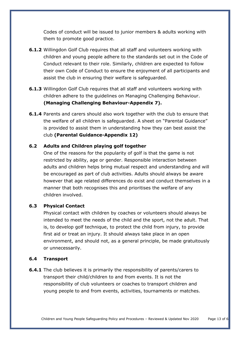Codes of conduct will be issued to junior members & adults working with them to promote good practice.

- **6.1.2** Willingdon Golf Club requires that all staff and volunteers working with children and young people adhere to the standards set out in the Code of Conduct relevant to their role. Similarly, children are expected to follow their own Code of Conduct to ensure the enjoyment of all participants and assist the club in ensuring their welfare is safeguarded.
- **6.1.3** Willingdon Golf Club requires that all staff and volunteers working with children adhere to the guidelines on Managing Challenging Behaviour. **(Managing Challenging Behaviour-Appendix 7).**
- **6.1.4** Parents and carers should also work together with the club to ensure that the welfare of all children is safeguarded. A sheet on "Parental Guidance" is provided to assist them in understanding how they can best assist the club **(Parental Guidance-Appendix 12)**

#### **6.2 Adults and Children playing golf together**

One of the reasons for the popularity of golf is that the game is not restricted by ability, age or gender. Responsible interaction between adults and children helps bring mutual respect and understanding and will be encouraged as part of club activities. Adults should always be aware however that age related differences do exist and conduct themselves in a manner that both recognises this and prioritises the welfare of any children involved.

## **6.3 Physical Contact**

Physical contact with children by coaches or volunteers should always be intended to meet the needs of the child and the sport, not the adult. That is, to develop golf technique, to protect the child from injury, to provide first aid or treat an injury. It should always take place in an open environment, and should not, as a general principle, be made gratuitously or unnecessarily.

#### **6.4 Transport**

**6.4.1** The club believes it is primarily the responsibility of parents/carers to transport their child/children to and from events. It is not the responsibility of club volunteers or coaches to transport children and young people to and from events, activities, tournaments or matches.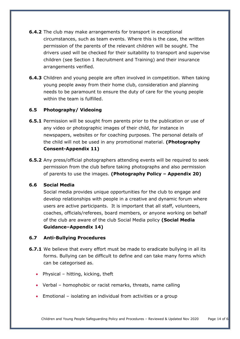- **6.4.2** The club may make arrangements for transport in exceptional circumstances, such as team events. Where this is the case, the written permission of the parents of the relevant children will be sought. The drivers used will be checked for their suitability to transport and supervise children (see Section 1 Recruitment and Training) and their insurance arrangements verified.
- **6.4.3** Children and young people are often involved in competition. When taking young people away from their home club, consideration and planning needs to be paramount to ensure the duty of care for the young people within the team is fulfilled.

#### **6.5 Photography/ Videoing**

- **6.5.1** Permission will be sought from parents prior to the publication or use of any video or photographic images of their child, for instance in newspapers, websites or for coaching purposes. The personal details of the child will not be used in any promotional material. **(Photography Consent-Appendix 11)**
- **6.5.2** Any press/official photographers attending events will be required to seek permission from the club before taking photographs and also permission of parents to use the images. **(Photography Policy – Appendix 20)**

#### **6.6 Social Media**

Social media provides unique opportunities for the club to engage and develop relationships with people in a creative and dynamic forum where users are active participants. It is important that all staff, volunteers, coaches, officials/referees, board members, or anyone working on behalf of the club are aware of the club Social Media policy **(Social Media Guidance–Appendix 14)**

#### **6.7 Anti-Bullying Procedures**

- **6.7.1** We believe that every effort must be made to eradicate bullying in all its forms. Bullying can be difficult to define and can take many forms which can be categorised as.
	- Physical hitting, kicking, theft
	- Verbal homophobic or racist remarks, threats, name calling
	- Emotional isolating an individual from activities or a group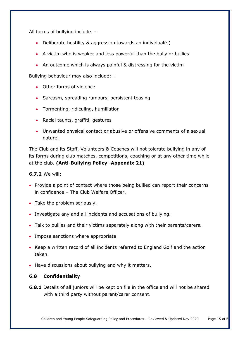All forms of bullying include: -

- Deliberate hostility & aggression towards an individual(s)
- A victim who is weaker and less powerful than the bully or bullies
- An outcome which is always painful & distressing for the victim

Bullying behaviour may also include: -

- Other forms of violence
- Sarcasm, spreading rumours, persistent teasing
- Tormenting, ridiculing, humiliation
- Racial taunts, graffiti, gestures
- Unwanted physical contact or abusive or offensive comments of a sexual nature.

The Club and its Staff, Volunteers & Coaches will not tolerate bullying in any of its forms during club matches, competitions, coaching or at any other time while at the club. **(Anti-Bullying Policy -Appendix 21)**

## **6.7.2** We will:

- Provide a point of contact where those being bullied can report their concerns in confidence – The Club Welfare Officer.
- Take the problem seriously.
- Investigate any and all incidents and accusations of bullying.
- Talk to bullies and their victims separately along with their parents/carers.
- Impose sanctions where appropriate
- Keep a written record of all incidents referred to England Golf and the action taken.
- Have discussions about bullying and why it matters.

## **6.8 Confidentiality**

**6.8.1** Details of all juniors will be kept on file in the office and will not be shared with a third party without parent/carer consent.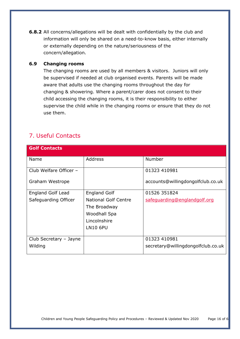**6.8.2** All concerns/allegations will be dealt with confidentially by the club and information will only be shared on a need-to-know basis, either internally or externally depending on the nature/seriousness of the concern/allegation.

#### **6.9 Changing rooms**

The changing rooms are used by all members & visitors. Juniors will only be supervised if needed at club organised events. Parents will be made aware that adults use the changing rooms throughout the day for changing & showering. Where a parent/carer does not consent to their child accessing the changing rooms, it is their responsibility to either supervise the child while in the changing rooms or ensure that they do not use them.

# <span id="page-15-0"></span>7. Useful Contacts

| <b>Golf Contacts</b>     |                                                                             |                                    |
|--------------------------|-----------------------------------------------------------------------------|------------------------------------|
| Name                     | <b>Address</b>                                                              | <b>Number</b>                      |
| Club Welfare Officer -   |                                                                             | 01323 410981                       |
| Graham Westrope          |                                                                             | accounts@willingdongolfclub.co.uk  |
| <b>England Golf Lead</b> | <b>England Golf</b>                                                         | 01526 351824                       |
| Safeguarding Officer     | <b>National Golf Centre</b><br>The Broadway<br>Woodhall Spa<br>Lincolnshire | safeguarding@englandgolf.org       |
|                          | <b>LN10 6PU</b>                                                             |                                    |
| Club Secretary - Jayne   |                                                                             | 01323 410981                       |
| Wilding                  |                                                                             | secretary@willingdongolfclub.co.uk |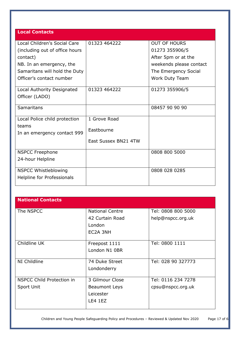| <b>Local Contacts</b>                                                                                  |                                                    |                                                                                         |
|--------------------------------------------------------------------------------------------------------|----------------------------------------------------|-----------------------------------------------------------------------------------------|
| Local Children's Social Care<br>(including out of office hours<br>contact)<br>NB. In an emergency, the | 01323 464222                                       | <b>OUT OF HOURS</b><br>01273 355906/5<br>After 5pm or at the<br>weekends please contact |
| Samaritans will hold the Duty<br>Officer's contact number                                              |                                                    | The Emergency Social<br>Work Duty Team                                                  |
| Local Authority Designated<br>Officer (LADO)                                                           | 01323 464222                                       | 01273 355906/5                                                                          |
| Samaritans                                                                                             |                                                    | 08457 90 90 90                                                                          |
| Local Police child protection<br>teams<br>In an emergency contact 999                                  | 1 Grove Road<br>Eastbourne<br>East Sussex BN21 4TW |                                                                                         |
| <b>NSPCC Freephone</b><br>24-hour Helpline                                                             |                                                    | 0808 800 5000                                                                           |
| <b>NSPCC Whistleblowing</b><br>Helpline for Professionals                                              |                                                    | 0808 028 0285                                                                           |

| <b>National Contacts</b>  |                        |                    |
|---------------------------|------------------------|--------------------|
| The NSPCC                 | <b>National Centre</b> | Tel: 0808 800 5000 |
|                           | 42 Curtain Road        | help@nspcc.org.uk  |
|                           | London                 |                    |
|                           | EC2A 3NH               |                    |
|                           |                        |                    |
| Childline UK              | Freepost 1111          | Tel: 0800 1111     |
|                           | London N1 0BR          |                    |
|                           |                        |                    |
| NI Childline              | 74 Duke Street         | Tel: 028 90 327773 |
|                           | Londonderry            |                    |
|                           |                        |                    |
| NSPCC Child Protection in | 3 Gilmour Close        | Tel: 0116 234 7278 |
| Sport Unit                | <b>Beaumont Leys</b>   | cpsu@nspcc.org.uk  |
|                           | Leicester              |                    |
|                           | LE4 1EZ                |                    |
|                           |                        |                    |

Children and Young People Safeguarding Policy and Procedures – Reviewed & Updated Nov 2020 Page 17 of 6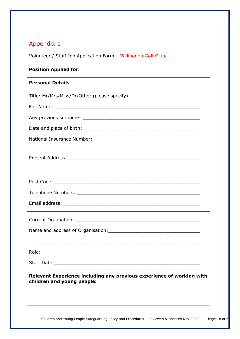<span id="page-17-0"></span>Volunteer / Staff Job Application Form – Willingdon Golf Club

| <b>Position Applied for:</b>                                                                        |  |
|-----------------------------------------------------------------------------------------------------|--|
| <b>Personal Details</b>                                                                             |  |
| Title: Mr/Mrs/Miss/Dr/Other (please specify) ___________________________________                    |  |
|                                                                                                     |  |
|                                                                                                     |  |
|                                                                                                     |  |
|                                                                                                     |  |
|                                                                                                     |  |
|                                                                                                     |  |
|                                                                                                     |  |
|                                                                                                     |  |
|                                                                                                     |  |
|                                                                                                     |  |
| Role:                                                                                               |  |
|                                                                                                     |  |
| Relevant Experience including any previous experience of working with<br>children and young people: |  |
|                                                                                                     |  |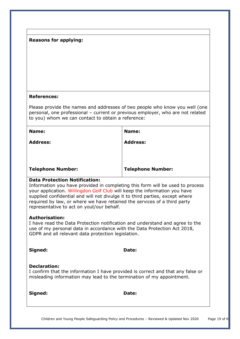## **References:**

Please provide the names and addresses of two people who know you well (one personal, one professional – current or previous employer, who are not related to you) whom we can contact to obtain a reference:

| Name:                    | Name:                    |
|--------------------------|--------------------------|
| <b>Address:</b>          | <b>Address:</b>          |
|                          |                          |
|                          |                          |
| <b>Telephone Number:</b> | <b>Telephone Number:</b> |

#### **Data Protection Notification:**

Information you have provided in completing this form will be used to process your application. Willingdon Golf Club will keep the information you have supplied confidential and will not divulge it to third parties, except where required by law, or where we have retained the services of a third party representative to act on yout/our behalf.

#### **Authorisation:**

I have read the Data Protection notification and understand and agree to the use of my personal data in accordance with the Data Protection Act 2018, GDPR and all relevant data protection legislation.

**Signed: Date:** 

## **Declaration:**

I confirm that the information I have provided is correct and that any false or misleading information may lead to the termination of my appointment.

**Signed: Date:**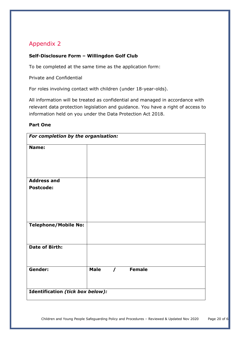# <span id="page-19-0"></span>**Self-Disclosure Form – Willingdon Golf Club**

To be completed at the same time as the application form:

Private and Confidential

For roles involving contact with children (under 18-year-olds).

All information will be treated as confidential and managed in accordance with relevant data protection legislation and guidance. You have a right of access to information held on you under the Data Protection Act 2018.

## **Part One**

| For completion by the organisation:     |             |          |               |  |
|-----------------------------------------|-------------|----------|---------------|--|
| Name:                                   |             |          |               |  |
| <b>Address and</b>                      |             |          |               |  |
| <b>Postcode:</b>                        |             |          |               |  |
|                                         |             |          |               |  |
| <b>Telephone/Mobile No:</b>             |             |          |               |  |
| <b>Date of Birth:</b>                   |             |          |               |  |
| Gender:                                 | <b>Male</b> | $\prime$ | <b>Female</b> |  |
| <b>Identification (tick box below):</b> |             |          |               |  |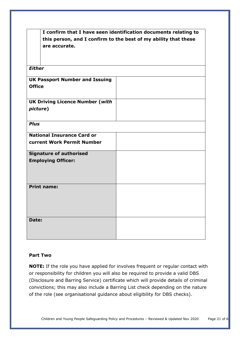|                                        | I confirm that I have seen identification documents relating to<br>this person, and I confirm to the best of my ability that these |  |  |
|----------------------------------------|------------------------------------------------------------------------------------------------------------------------------------|--|--|
| are accurate.                          |                                                                                                                                    |  |  |
|                                        |                                                                                                                                    |  |  |
| <b>Either</b>                          |                                                                                                                                    |  |  |
| <b>UK Passport Number and Issuing</b>  |                                                                                                                                    |  |  |
| <b>Office</b>                          |                                                                                                                                    |  |  |
|                                        |                                                                                                                                    |  |  |
| <b>UK Driving Licence Number (with</b> |                                                                                                                                    |  |  |
| picture)                               |                                                                                                                                    |  |  |
| <b>Plus</b>                            |                                                                                                                                    |  |  |
|                                        |                                                                                                                                    |  |  |
| <b>National Insurance Card or</b>      |                                                                                                                                    |  |  |
| current Work Permit Number             |                                                                                                                                    |  |  |
| <b>Signature of authorised</b>         |                                                                                                                                    |  |  |
| <b>Employing Officer:</b>              |                                                                                                                                    |  |  |
|                                        |                                                                                                                                    |  |  |
|                                        |                                                                                                                                    |  |  |
| <b>Print name:</b>                     |                                                                                                                                    |  |  |
|                                        |                                                                                                                                    |  |  |
|                                        |                                                                                                                                    |  |  |
|                                        |                                                                                                                                    |  |  |
| Date:                                  |                                                                                                                                    |  |  |
|                                        |                                                                                                                                    |  |  |
|                                        |                                                                                                                                    |  |  |

#### **Part Two**

**NOTE:** If the role you have applied for involves frequent or regular contact with or responsibility for children you will also be required to provide a valid DBS (Disclosure and Barring Service) certificate which will provide details of criminal convictions; this may also include a Barring List check depending on the nature of the role (see organisational guidance about eligibility for DBS checks).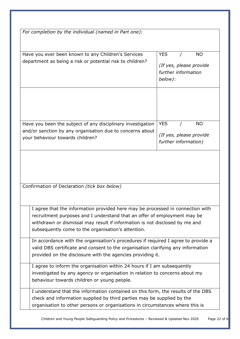| For completion by the individual (named in Part one):                                                                                                   |                                                           |
|---------------------------------------------------------------------------------------------------------------------------------------------------------|-----------------------------------------------------------|
| Have you ever been known to any Children's Services                                                                                                     | <b>YES</b><br><b>NO</b>                                   |
| department as being a risk or potential risk to children?                                                                                               | (If yes, please provide<br>further information<br>below): |
|                                                                                                                                                         |                                                           |
| Have you been the subject of any disciplinary investigation                                                                                             | <b>YES</b><br><b>NO</b>                                   |
| and/or sanction by any organisation due to concerns about<br>your behaviour towards children?                                                           | (If yes, please provide<br>further information)           |
| Confirmation of Declaration (tick box below)                                                                                                            |                                                           |
|                                                                                                                                                         |                                                           |
| I agree that the information provided here may be processed in connection with                                                                          |                                                           |
| recruitment purposes and I understand that an offer of employment may be<br>withdrawn or dismissal may result if information is not disclosed by me and |                                                           |
| subsequently come to the organisation's attention.                                                                                                      |                                                           |
| In accordance with the organisation's procedures if required I agree to provide a                                                                       |                                                           |
| valid DBS certificate and consent to the organisation clarifying any information                                                                        |                                                           |
| provided on the disclosure with the agencies providing it.                                                                                              |                                                           |
| I agree to inform the organisation within 24 hours if I am subsequently                                                                                 |                                                           |
| investigated by any agency or organisation in relation to concerns about my                                                                             |                                                           |
| behaviour towards children or young people.                                                                                                             |                                                           |
| I understand that the information contained on this form, the results of the DBS                                                                        |                                                           |
| check and information supplied by third parties may be supplied by the<br>organisation to other persons or organisations in circumstances where this is |                                                           |

Children and Young People Safeguarding Policy and Procedures – Reviewed & Updated Nov 2020 Page 22 of 6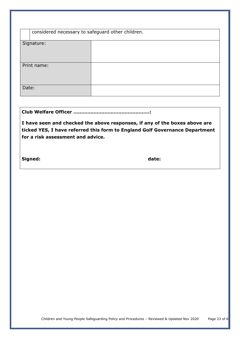|       | considered necessary to safeguard other children. |  |  |
|-------|---------------------------------------------------|--|--|
|       |                                                   |  |  |
|       | Signature:                                        |  |  |
|       | Print name:                                       |  |  |
| Date: |                                                   |  |  |

**Club Welfare Officer ………………………………………….:**

**I have seen and checked the above responses, if any of the boxes above are ticked YES, I have referred this form to England Golf Governance Department for a risk assessment and advice.**

**Signed: date:**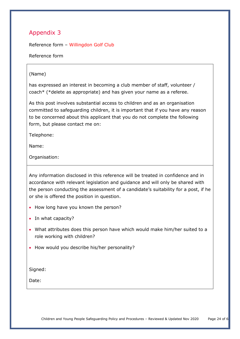<span id="page-23-0"></span>Reference form – Willingdon Golf Club

Reference form

## (Name)

has expressed an interest in becoming a club member of staff, volunteer / coach\* (\*delete as appropriate) and has given your name as a referee.

As this post involves substantial access to children and as an organisation committed to safeguarding children, it is important that if you have any reason to be concerned about this applicant that you do not complete the following form, but please contact me on:

Telephone:

Name:

Organisation:

Any information disclosed in this reference will be treated in confidence and in accordance with relevant legislation and guidance and will only be shared with the person conducting the assessment of a candidate's suitability for a post, if he or she is offered the position in question.

- How long have you known the person?
- In what capacity?
- What attributes does this person have which would make him/her suited to a role working with children?
- How would you describe his/her personality?

Signed:

Date: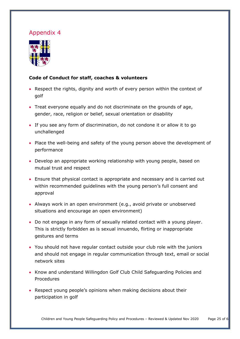<span id="page-24-0"></span>

# **Code of Conduct for staff, coaches & volunteers**

- Respect the rights, dignity and worth of every person within the context of golf
- Treat everyone equally and do not discriminate on the grounds of age, gender, race, religion or belief, sexual orientation or disability
- If you see any form of discrimination, do not condone it or allow it to go unchallenged
- Place the well-being and safety of the young person above the development of performance
- Develop an appropriate working relationship with young people, based on mutual trust and respect
- Ensure that physical contact is appropriate and necessary and is carried out within recommended guidelines with the young person's full consent and approval
- Always work in an open environment (e.g., avoid private or unobserved situations and encourage an open environment)
- Do not engage in any form of sexually related contact with a young player. This is strictly forbidden as is sexual innuendo, flirting or inappropriate gestures and terms
- You should not have regular contact outside your club role with the juniors and should not engage in regular communication through text, email or social network sites
- Know and understand Willingdon Golf Club Child Safeguarding Policies and Procedures
- Respect young people's opinions when making decisions about their participation in golf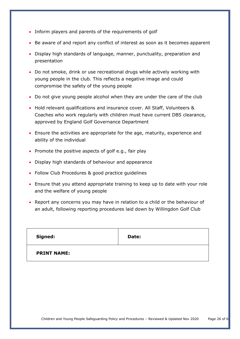- Inform players and parents of the requirements of golf
- Be aware of and report any conflict of interest as soon as it becomes apparent
- Display high standards of language, manner, punctuality, preparation and presentation
- Do not smoke, drink or use recreational drugs while actively working with young people in the club. This reflects a negative image and could compromise the safety of the young people
- Do not give young people alcohol when they are under the care of the club
- Hold relevant qualifications and insurance cover. All Staff, Volunteers & Coaches who work regularly with children must have current DBS clearance, approved by England Golf Governance Department
- Ensure the activities are appropriate for the age, maturity, experience and ability of the individual
- Promote the positive aspects of golf e.g., fair play
- Display high standards of behaviour and appearance
- Follow Club Procedures & good practice guidelines
- Ensure that you attend appropriate training to keep up to date with your role and the welfare of young people
- Report any concerns you may have in relation to a child or the behaviour of an adult, following reporting procedures laid down by Willingdon Golf Club

| Signed:            | Date: |
|--------------------|-------|
| <b>PRINT NAME:</b> |       |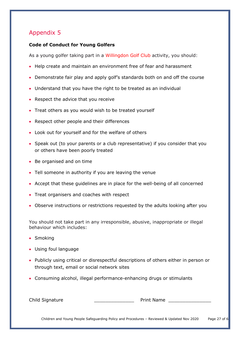## <span id="page-26-0"></span>**Code of Conduct for Young Golfers**

As a young golfer taking part in a Willingdon Golf Club activity, you should:

- Help create and maintain an environment free of fear and harassment
- Demonstrate fair play and apply golf's standards both on and off the course
- Understand that you have the right to be treated as an individual
- Respect the advice that you receive
- Treat others as you would wish to be treated yourself
- Respect other people and their differences
- Look out for yourself and for the welfare of others
- Speak out (to your parents or a club representative) if you consider that you or others have been poorly treated
- Be organised and on time
- Tell someone in authority if you are leaving the venue
- Accept that these guidelines are in place for the well-being of all concerned
- Treat organisers and coaches with respect
- Observe instructions or restrictions requested by the adults looking after you

You should not take part in any irresponsible, abusive, inappropriate or illegal behaviour which includes:

- Smoking
- Using foul language
- Publicly using critical or disrespectful descriptions of others either in person or through text, email or social network sites
- Consuming alcohol, illegal performance-enhancing drugs or stimulants

Child Signature **Child Signature Print Name** 

Children and Young People Safeguarding Policy and Procedures - Reviewed & Updated Nov 2020 Page 27 of 6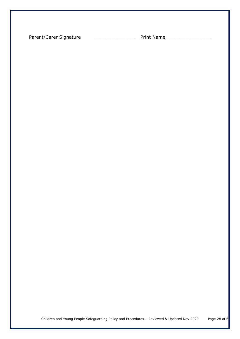Parent/Carer Signature \_\_\_\_\_\_\_\_\_\_\_\_\_\_\_\_\_\_\_\_\_\_\_\_\_ Print Name\_\_\_\_\_\_\_\_\_\_\_\_\_\_\_\_\_\_\_\_\_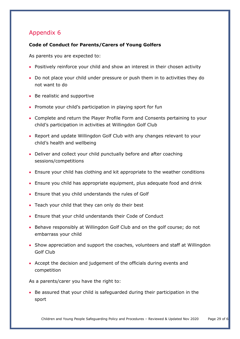## <span id="page-28-0"></span>**Code of Conduct for Parents/Carers of Young Golfers**

As parents you are expected to:

- Positively reinforce your child and show an interest in their chosen activity
- Do not place your child under pressure or push them in to activities they do not want to do
- Be realistic and supportive
- Promote your child's participation in playing sport for fun
- Complete and return the Player Profile Form and Consents pertaining to your child's participation in activities at Willingdon Golf Club
- Report and update Willingdon Golf Club with any changes relevant to your child's health and wellbeing
- Deliver and collect your child punctually before and after coaching sessions/competitions
- Ensure your child has clothing and kit appropriate to the weather conditions
- Ensure you child has appropriate equipment, plus adequate food and drink
- Ensure that you child understands the rules of Golf
- Teach your child that they can only do their best
- Ensure that your child understands their Code of Conduct
- Behave responsibly at Willingdon Golf Club and on the golf course; do not embarrass your child
- Show appreciation and support the coaches, volunteers and staff at Willingdon Golf Club
- Accept the decision and judgement of the officials during events and competition

As a parents/carer you have the right to:

• Be assured that your child is safeguarded during their participation in the sport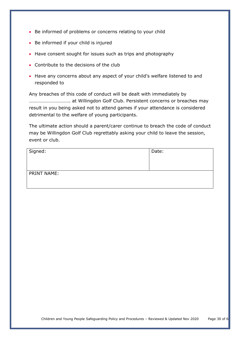- Be informed of problems or concerns relating to your child
- Be informed if your child is injured
- Have consent sought for issues such as trips and photography
- Contribute to the decisions of the club
- Have any concerns about any aspect of your child's welfare listened to and responded to

Any breaches of this code of conduct will be dealt with immediately by ……………………………. at Willingdon Golf Club. Persistent concerns or breaches may result in you being asked not to attend games if your attendance is considered detrimental to the welfare of young participants.

The ultimate action should a parent/carer continue to breach the code of conduct may be Willingdon Golf Club regrettably asking your child to leave the session, event or club.

| Signed:            | Date: |
|--------------------|-------|
| <b>PRINT NAME:</b> |       |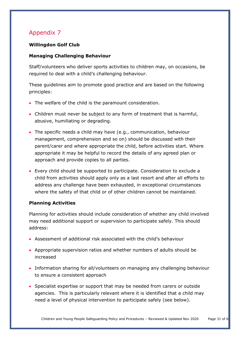# **Willingdon Golf Club**

## **Managing Challenging Behaviour**

Staff/volunteers who deliver sports activities to children may, on occasions, be required to deal with a child's challenging behaviour.

These guidelines aim to promote good practice and are based on the following principles:

- The welfare of the child is the paramount consideration.
- Children must never be subject to any form of treatment that is harmful, abusive, humiliating or degrading.
- The specific needs a child may have (e.g., communication, behaviour management, comprehension and so on) should be discussed with their parent/carer and where appropriate the child, before activities start. Where appropriate it may be helpful to record the details of any agreed plan or approach and provide copies to all parties.
- Every child should be supported to participate. Consideration to exclude a child from activities should apply only as a last resort and after all efforts to address any challenge have been exhausted, in exceptional circumstances where the safety of that child or of other children cannot be maintained.

## **Planning Activities**

Planning for activities should include consideration of whether any child involved may need additional support or supervision to participate safely. This should address:

- Assessment of additional risk associated with the child's behaviour
- Appropriate supervision ratios and whether numbers of adults should be increased
- Information sharing for all/volunteers on managing any challenging behaviour to ensure a consistent approach
- Specialist expertise or support that may be needed from carers or outside agencies. This is particularly relevant where it is identified that a child may need a level of physical intervention to participate safely (see below).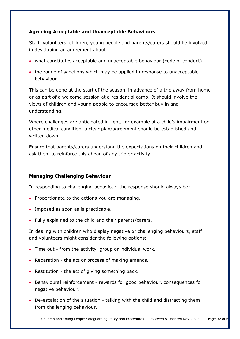## **Agreeing Acceptable and Unacceptable Behaviours**

Staff, volunteers, children, young people and parents/carers should be involved in developing an agreement about:

- what constitutes acceptable and unacceptable behaviour (code of conduct)
- the range of sanctions which may be applied in response to unacceptable behaviour.

This can be done at the start of the season, in advance of a trip away from home or as part of a welcome session at a residential camp. It should involve the views of children and young people to encourage better buy in and understanding.

Where challenges are anticipated in light, for example of a child's impairment or other medical condition, a clear plan/agreement should be established and written down.

Ensure that parents/carers understand the expectations on their children and ask them to reinforce this ahead of any trip or activity.

## **Managing Challenging Behaviour**

In responding to challenging behaviour, the response should always be:

- Proportionate to the actions you are managing.
- Imposed as soon as is practicable.
- Fully explained to the child and their parents/carers.

In dealing with children who display negative or challenging behaviours, staff and volunteers might consider the following options:

- Time out from the activity, group or individual work.
- Reparation the act or process of making amends.
- Restitution the act of giving something back.
- Behavioural reinforcement rewards for good behaviour, consequences for negative behaviour.
- De-escalation of the situation talking with the child and distracting them from challenging behaviour.

Children and Young People Safeguarding Policy and Procedures - Reviewed & Updated Nov 2020 Page 32 of 6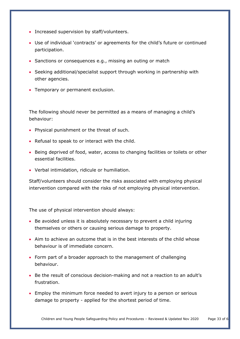- Increased supervision by staff/volunteers.
- Use of individual 'contracts' or agreements for the child's future or continued participation.
- Sanctions or consequences e.g., missing an outing or match
- Seeking additional/specialist support through working in partnership with other agencies.
- Temporary or permanent exclusion.

The following should never be permitted as a means of managing a child's behaviour:

- Physical punishment or the threat of such.
- Refusal to speak to or interact with the child.
- Being deprived of food, water, access to changing facilities or toilets or other essential facilities.
- Verbal intimidation, ridicule or humiliation.

Staff/volunteers should consider the risks associated with employing physical intervention compared with the risks of not employing physical intervention.

The use of physical intervention should always:

- Be avoided unless it is absolutely necessary to prevent a child injuring themselves or others or causing serious damage to property.
- Aim to achieve an outcome that is in the best interests of the child whose behaviour is of immediate concern.
- Form part of a broader approach to the management of challenging behaviour.
- Be the result of conscious decision-making and not a reaction to an adult's frustration.
- Employ the minimum force needed to avert injury to a person or serious damage to property - applied for the shortest period of time.

Children and Young People Safeguarding Policy and Procedures - Reviewed & Updated Nov 2020 Page 33 of 6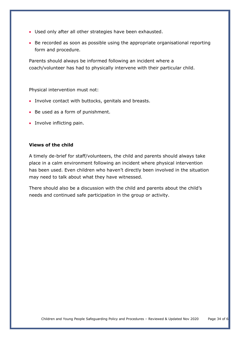- Used only after all other strategies have been exhausted.
- Be recorded as soon as possible using the appropriate organisational reporting form and procedure.

Parents should always be informed following an incident where a coach/volunteer has had to physically intervene with their particular child.

Physical intervention must not:

- Involve contact with buttocks, genitals and breasts.
- Be used as a form of punishment.
- Involve inflicting pain.

#### **Views of the child**

A timely de-brief for staff/volunteers, the child and parents should always take place in a calm environment following an incident where physical intervention has been used. Even children who haven't directly been involved in the situation may need to talk about what they have witnessed.

There should also be a discussion with the child and parents about the child's needs and continued safe participation in the group or activity.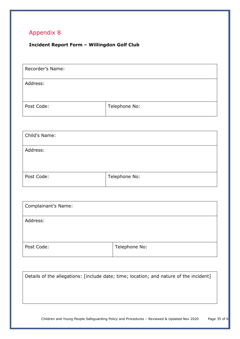# <span id="page-34-0"></span>**Incident Report Form – Willingdon Golf Club**

| Recorder's Name: |               |
|------------------|---------------|
|                  |               |
| Address:         |               |
|                  |               |
|                  |               |
| Post Code:       | Telephone No: |
|                  |               |

| Child's Name: |               |
|---------------|---------------|
| Address:      |               |
| Post Code:    | Telephone No: |

| Complainant's Name: |               |
|---------------------|---------------|
| Address:            |               |
|                     |               |
| Post Code:          | Telephone No: |

Children and Young People Safeguarding Policy and Procedures – Reviewed & Updated Nov 2020 Page 35 of 6 Details of the allegations: [include date; time; location; and nature of the incident]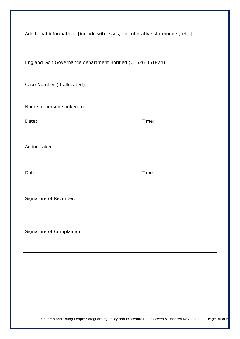|                                                            | Additional information: [include witnesses; corroborative statements; etc.] |
|------------------------------------------------------------|-----------------------------------------------------------------------------|
| England Golf Governance department notified (01526 351824) |                                                                             |
| Case Number (if allocated):                                |                                                                             |
| Name of person spoken to:                                  |                                                                             |
| Date:                                                      | Time:                                                                       |
| Action taken:                                              |                                                                             |
| Date:                                                      | Time:                                                                       |
| Signature of Recorder:                                     |                                                                             |
| Signature of Complainant:                                  |                                                                             |
|                                                            |                                                                             |
|                                                            |                                                                             |
|                                                            |                                                                             |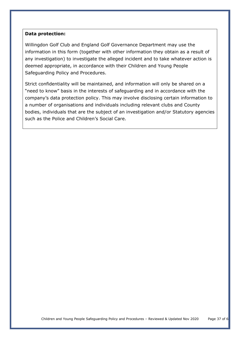#### **Data protection:**

Willingdon Golf Club and England Golf Governance Department may use the information in this form (together with other information they obtain as a result of any investigation) to investigate the alleged incident and to take whatever action is deemed appropriate, in accordance with their Children and Young People Safeguarding Policy and Procedures.

<span id="page-36-0"></span>Strict confidentiality will be maintained, and information will only be shared on a "need to know" basis in the interests of safeguarding and in accordance with the company's data protection policy. This may involve disclosing certain information to a number of organisations and individuals including relevant clubs and County bodies, individuals that are the subject of an investigation and/or Statutory agencies such as the Police and Children's Social Care.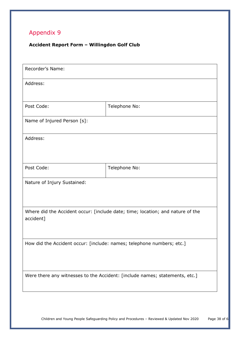# **Accident Report Form – Willingdon Golf Club**

| Address:                    |                                                                                |
|-----------------------------|--------------------------------------------------------------------------------|
| Post Code:                  | Telephone No:                                                                  |
| Name of Injured Person [s]: |                                                                                |
| Address:                    |                                                                                |
|                             |                                                                                |
| Post Code:                  | Telephone No:                                                                  |
| Nature of Injury Sustained: |                                                                                |
|                             | Where did the Accident occur: [include date; time; location; and nature of the |
| accident]                   |                                                                                |
|                             | How did the Accident occur: [include: names; telephone numbers; etc.]          |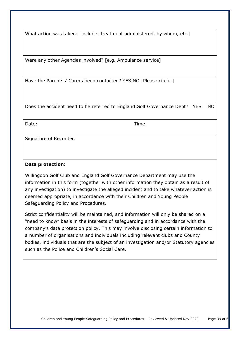What action was taken: [include: treatment administered, by whom, etc.]

Were any other Agencies involved? [e.g. Ambulance service]

Have the Parents / Carers been contacted? YES NO [Please circle.]

Does the accident need to be referred to England Golf Governance Dept? YES NO

Date: Time:

Signature of Recorder:

#### **Data protection:**

Willingdon Golf Club and England Golf Governance Department may use the information in this form (together with other information they obtain as a result of any investigation) to investigate the alleged incident and to take whatever action is deemed appropriate, in accordance with their Children and Young People Safeguarding Policy and Procedures.

Strict confidentiality will be maintained, and information will only be shared on a "need to know" basis in the interests of safeguarding and in accordance with the company's data protection policy. This may involve disclosing certain information to a number of organisations and individuals including relevant clubs and County bodies, individuals that are the subject of an investigation and/or Statutory agencies such as the Police and Children's Social Care.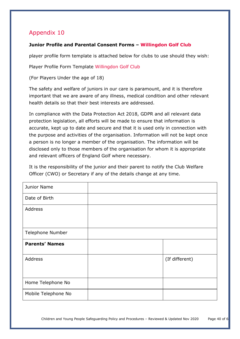## <span id="page-39-0"></span>**Junior Profile and Parental Consent Forms – Willingdon Golf Club**

player profile form template is attached below for clubs to use should they wish:

Player Profile Form Template Willingdon Golf Club

(For Players Under the age of 18)

The safety and welfare of juniors in our care is paramount, and it is therefore important that we are aware of any illness, medical condition and other relevant health details so that their best interests are addressed.

In compliance with the Data Protection Act 2018, GDPR and all relevant data protection legislation, all efforts will be made to ensure that information is accurate, kept up to date and secure and that it is used only in connection with the purpose and activities of the organisation. Information will not be kept once a person is no longer a member of the organisation. The information will be disclosed only to those members of the organisation for whom it is appropriate and relevant officers of England Golf where necessary.

It is the responsibility of the junior and their parent to notify the Club Welfare Officer (CWO) or Secretary if any of the details change at any time.

| Junior Name             |                |
|-------------------------|----------------|
| Date of Birth           |                |
| Address                 |                |
| <b>Telephone Number</b> |                |
|                         |                |
| <b>Parents' Names</b>   |                |
| Address                 | (If different) |
|                         |                |
| Home Telephone No       |                |
| Mobile Telephone No     |                |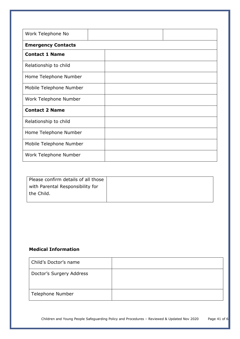| Work Telephone No         |  |
|---------------------------|--|
| <b>Emergency Contacts</b> |  |
| <b>Contact 1 Name</b>     |  |
| Relationship to child     |  |
| Home Telephone Number     |  |
| Mobile Telephone Number   |  |
| Work Telephone Number     |  |
| <b>Contact 2 Name</b>     |  |
| Relationship to child     |  |
| Home Telephone Number     |  |
| Mobile Telephone Number   |  |
| Work Telephone Number     |  |

| Please confirm details of all those |  |
|-------------------------------------|--|
| with Parental Responsibility for    |  |
| the Child.                          |  |
|                                     |  |

## **Medical Information**

| Child's Doctor's name    |  |
|--------------------------|--|
| Doctor's Surgery Address |  |
| Telephone Number         |  |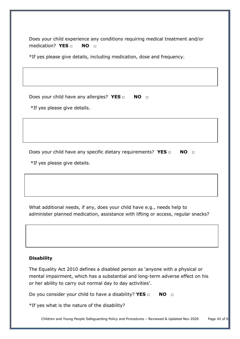Does your child experience any conditions requiring medical treatment and/or medication? **YES □ NO □**

\*If yes please give details, including medication, dose and frequency.

Does your child have any allergies? **YES** □ **NO** □

\*If yes please give details.

Does your child have any specific dietary requirements? YES □ NO □

\*If yes please give details.

What additional needs, if any, does your child have e.g., needs help to administer planned medication, assistance with lifting or access, regular snacks?

## **Disability**

The Equality Act 2010 defines a disabled person as 'anyone with a physical or mental impairment, which has a substantial and long-term adverse effect on his or her ability to carry out normal day to day activities'.

Do you consider your child to have a disability? **YES □ NO □**

\*If yes what is the nature of the disability?

Children and Young People Safeguarding Policy and Procedures - Reviewed & Updated Nov 2020 Page 42 of 6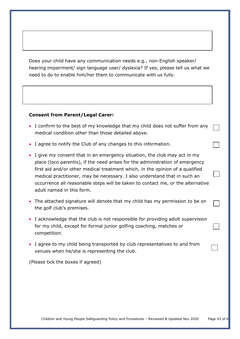Does your child have any communication needs e.g., non-English speaker/ hearing impairment/ sign language user/ dyslexia? If yes, please tell us what we need to do to enable him/her them to communicate with us fully.

#### **Consent from Parent/Legal Carer:**

- I confirm to the best of my knowledge that my child does not suffer from any medical condition other than those detailed above.
- I agree to notify the Club of any changes to this information.
- I give my consent that in an emergency situation, the club may act in my place (loco parentis), if the need arises for the administration of emergency first aid and/or other medical treatment which, in the opinion of a qualified medical practitioner, may be necessary. I also understand that in such an occurrence all reasonable steps will be taken to contact me, or the alternative adult named in this form.
- The attached signature will denote that my child has my permission to be on the golf club's premises.
- I acknowledge that the club is not responsible for providing adult supervision for my child, except for formal junior golfing coaching, matches or competition.
- I agree to my child being transported by club representatives to and from venues when he/she is representing the club.

(Please tick the boxes if agreed)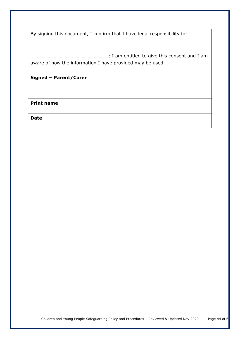| By signing this document, I confirm that I have legal responsibility for |  |
|--------------------------------------------------------------------------|--|
|                                                                          |  |

………………………………………………………; I am entitled to give this consent and I am aware of how the information I have provided may be used.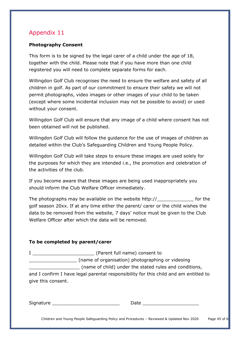## <span id="page-44-0"></span>**Photography Consent**

This form is to be signed by the legal carer of a child under the age of 18, together with the child. Please note that if you have more than one child registered you will need to complete separate forms for each.

Willingdon Golf Club recognises the need to ensure the welfare and safety of all children in golf. As part of our commitment to ensure their safety we will not permit photographs, video images or other images of your child to be taken (except where some incidental inclusion may not be possible to avoid) or used without your consent.

Willingdon Golf Club will ensure that any image of a child where consent has not been obtained will not be published.

Willingdon Golf Club will follow the guidance for the use of images of children as detailed within the Club's Safeguarding Children and Young People Policy.

Willingdon Golf Club will take steps to ensure these images are used solely for the purposes for which they are intended i.e., the promotion and celebration of the activities of the club.

If you become aware that these images are being used inappropriately you should inform the Club Welfare Officer immediately.

The photographs may be available on the website http://\_\_\_\_\_\_\_\_\_\_\_\_\_ for the golf season 20xx. If at any time either the parent/ carer or the child wishes the data to be removed from the website, 7 days' notice must be given to the Club Welfare Officer after which the data will be removed.

## **To be completed by parent/carer**

|                    | (Parent full name) consent to                                                        |  |  |
|--------------------|--------------------------------------------------------------------------------------|--|--|
|                    | (name of organisation) photographing or videoing                                     |  |  |
|                    | (name of child) under the stated rules and conditions,                               |  |  |
| give this consent. | and I confirm I have legal parental responsibility for this child and am entitled to |  |  |
|                    |                                                                                      |  |  |
|                    |                                                                                      |  |  |

Signature \_\_\_\_\_\_\_\_\_\_\_\_\_\_\_\_\_\_\_\_\_\_\_\_ Date \_\_\_\_\_\_\_\_\_\_\_\_\_\_\_\_\_\_\_\_

Children and Young People Safeguarding Policy and Procedures - Reviewed & Updated Nov 2020 Page 45 of 6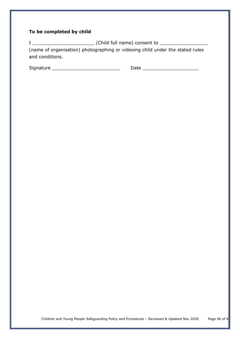# **To be completed by child**

I \_\_\_\_\_\_\_\_\_\_\_\_\_\_\_\_\_\_\_\_\_\_ (Child full name) consent to \_\_\_\_\_\_\_\_\_\_\_\_\_\_\_\_\_ (name of organisation) photographing or videoing child under the stated rules and conditions.

<span id="page-45-0"></span>

| $\sim$<br>Signature |  |
|---------------------|--|
|                     |  |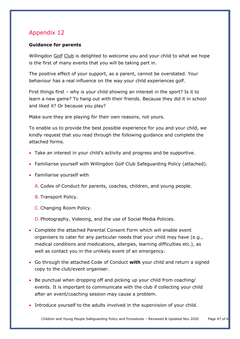## **Guidance for parents**

Willingdon Golf Club is delighted to welcome you and your child to what we hope is the first of many events that you will be taking part in.

The positive effect of your support, as a parent, cannot be overstated. Your behaviour has a real influence on the way your child experiences golf.

First things first – why is your child showing an interest in the sport? Is it to learn a new game? To hang out with their friends. Because they did it in school and liked it? Or because you play?

Make sure they are playing for their own reasons, not yours.

To enable us to provide the best possible experience for you and your child, we kindly request that you read through the following guidance and complete the attached forms.

- Take an interest in your child's activity and progress and be supportive.
- Familiarise yourself with Willingdon Golf Club Safeguarding Policy (attached).
- Familiarise yourself with
	- A. Codes of Conduct for parents, coaches, children, and young people.
	- B. Transport Policy.
	- C. Changing Room Policy.
	- D. Photography, Videoing, and the use of Social Media Policies.
- Complete the attached Parental Consent Form which will enable event organisers to cater for any particular needs that your child may have (e.g., medical conditions and medications, allergies, learning difficulties etc.), as well as contact you in the unlikely event of an emergency.
- Go through the attached Code of Conduct **with** your child and return a signed copy to the club/event organiser.
- Be punctual when dropping off and picking up your child from coaching/ events. It is important to communicate with the club if collecting your child after an event/coaching session may cause a problem.
- Introduce yourself to the adults involved in the supervision of your child.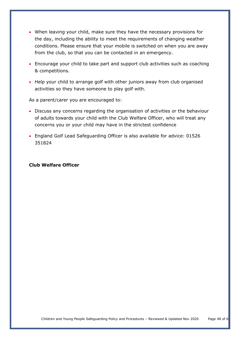- When leaving your child, make sure they have the necessary provisions for the day, including the ability to meet the requirements of changing weather conditions. Please ensure that your mobile is switched on when you are away from the club, so that you can be contacted in an emergency.
- Encourage your child to take part and support club activities such as coaching & competitions.
- Help your child to arrange golf with other juniors away from club organised activities so they have someone to play golf with.

As a parent/carer you are encouraged to:

- Discuss any concerns regarding the organisation of activities or the behaviour of adults towards your child with the Club Welfare Officer, who will treat any concerns you or your child may have in the strictest confidence
- England Golf Lead Safeguarding Officer is also available for advice: 01526 351824

#### <span id="page-47-0"></span>**Club Welfare Officer**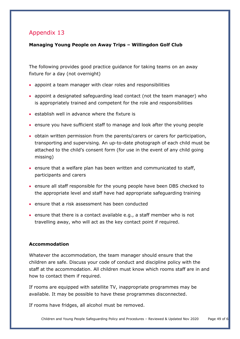# **Managing Young People on Away Trips – Willingdon Golf Club**

The following provides good practice guidance for taking teams on an away fixture for a day (not overnight)

- appoint a team manager with clear roles and responsibilities
- appoint a designated safeguarding lead contact (not the team manager) who is appropriately trained and competent for the role and responsibilities
- establish well in advance where the fixture is
- ensure you have sufficient staff to manage and look after the young people
- obtain written permission from the parents/carers or carers for participation, transporting and supervising. An up-to-date photograph of each child must be attached to the child's consent form (for use in the event of any child going missing)
- ensure that a welfare plan has been written and communicated to staff, participants and carers
- ensure all staff responsible for the young people have been DBS checked to the appropriate level and staff have had appropriate safeguarding training
- ensure that a risk assessment has been conducted
- ensure that there is a contact available e.g., a staff member who is not travelling away, who will act as the key contact point if required.

## **Accommodation**

Whatever the accommodation, the team manager should ensure that the children are safe. Discuss your code of conduct and discipline policy with the staff at the accommodation. All children must know which rooms staff are in and how to contact them if required.

If rooms are equipped with satellite TV, inappropriate programmes may be available. It may be possible to have these programmes disconnected.

If rooms have fridges, all alcohol must be removed.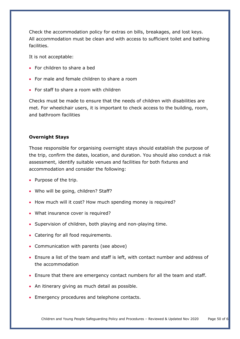Check the accommodation policy for extras on bills, breakages, and lost keys. All accommodation must be clean and with access to sufficient toilet and bathing facilities.

It is not acceptable:

- For children to share a bed
- For male and female children to share a room
- For staff to share a room with children

Checks must be made to ensure that the needs of children with disabilities are met. For wheelchair users, it is important to check access to the building, room, and bathroom facilities

#### **Overnight Stays**

Those responsible for organising overnight stays should establish the purpose of the trip, confirm the dates, location, and duration. You should also conduct a risk assessment, identify suitable venues and facilities for both fixtures and accommodation and consider the following:

- Purpose of the trip.
- Who will be going, children? Staff?
- How much will it cost? How much spending money is required?
- What insurance cover is required?
- Supervision of children, both playing and non-playing time.
- Catering for all food requirements.
- Communication with parents (see above)
- Ensure a list of the team and staff is left, with contact number and address of the accommodation
- Ensure that there are emergency contact numbers for all the team and staff.
- An itinerary giving as much detail as possible.
- Emergency procedures and telephone contacts.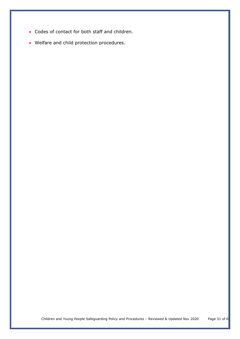- Codes of contact for both staff and children.
- <span id="page-50-0"></span>• Welfare and child protection procedures.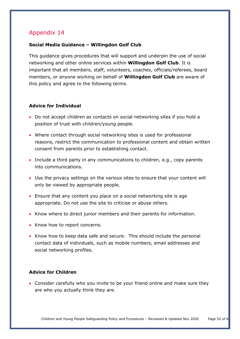## **Social Media Guidance – Willingdon Golf Club**

This guidance gives procedures that will support and underpin the use of social networking and other online services within **Willingdon Golf Club**. It is important that all members, staff, volunteers, coaches, officials/referees, board members, or anyone working on behalf of **Willingdon Golf Club** are aware of this policy and agree to the following terms.

## **Advice for Individual**

- Do not accept children as contacts on social networking sites if you hold a position of trust with children/young people.
- Where contact through social networking sites is used for professional reasons, restrict the communication to professional content and obtain written consent from parents prior to establishing contact.
- Include a third party in any communications to children, e.g., copy parents into communications.
- Use the privacy settings on the various sites to ensure that your content will only be viewed by appropriate people.
- Ensure that any content you place on a social networking site is age appropriate. Do not use the site to criticise or abuse others.
- Know where to direct junior members and their parents for information.
- Know how to report concerns.
- Know how to keep data safe and secure. This should include the personal contact data of individuals, such as mobile numbers, email addresses and social networking profiles.

## **Advice for Children**

• Consider carefully who you invite to be your friend online and make sure they are who you actually think they are.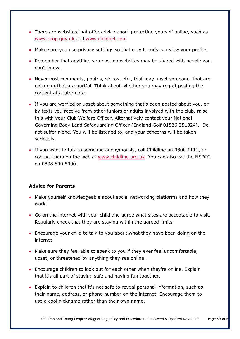- There are websites that offer advice about protecting yourself online, such as [www.ceop.gov.uk](http://www.ceop.gov.uk/) and [www.childnet.com](http://www.childnet.com/)
- Make sure you use privacy settings so that only friends can view your profile.
- Remember that anything you post on websites may be shared with people you don't know.
- Never post comments, photos, videos, etc., that may upset someone, that are untrue or that are hurtful. Think about whether you may regret posting the content at a later date.
- If you are worried or upset about something that's been posted about you, or by texts you receive from other juniors or adults involved with the club, raise this with your Club Welfare Officer. Alternatively contact your National Governing Body Lead Safeguarding Officer (England Golf 01526 351824). Do not suffer alone. You will be listened to, and your concerns will be taken seriously.
- If you want to talk to someone anonymously, call Childline on 0800 1111, or contact them on the web at [www.childline.org.uk.](http://www.childline.org.uk/) You can also call the NSPCC on 0808 800 5000.

## **Advice for Parents**

- Make yourself knowledgeable about social networking platforms and how they work.
- Go on the internet with your child and agree what sites are acceptable to visit. Regularly check that they are staying within the agreed limits.
- Encourage your child to talk to you about what they have been doing on the internet.
- Make sure they feel able to speak to you if they ever feel uncomfortable, upset, or threatened by anything they see online.
- Encourage children to look out for each other when they're online. Explain that it's all part of staying safe and having fun together.
- Explain to children that it's not safe to reveal personal information, such as their name, address, or phone number on the internet. Encourage them to use a cool nickname rather than their own name.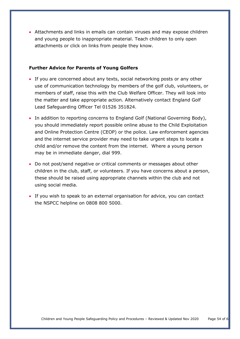• Attachments and links in emails can contain viruses and may expose children and young people to inappropriate material. Teach children to only open attachments or click on links from people they know.

#### **Further Advice for Parents of Young Golfers**

- If you are concerned about any texts, social networking posts or any other use of communication technology by members of the golf club, volunteers, or members of staff, raise this with the Club Welfare Officer. They will look into the matter and take appropriate action. Alternatively contact England Golf Lead Safeguarding Officer Tel 01526 351824.
- In addition to reporting concerns to England Golf (National Governing Body), you should immediately report possible online abuse to the Child Exploitation and Online Protection Centre (CEOP) or the police. Law enforcement agencies and the internet service provider may need to take urgent steps to locate a child and/or remove the content from the internet. Where a young person may be in immediate danger, dial 999.
- Do not post/send negative or critical comments or messages about other children in the club, staff, or volunteers. If you have concerns about a person, these should be raised using appropriate channels within the club and not using social media.
- <span id="page-53-0"></span>• If you wish to speak to an external organisation for advice, you can contact the NSPCC helpline on 0808 800 5000.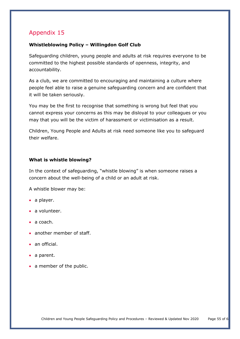## **Whistleblowing Policy – Willingdon Golf Club**

Safeguarding children, young people and adults at risk requires everyone to be committed to the highest possible standards of openness, integrity, and accountability.

As a club, we are committed to encouraging and maintaining a culture where people feel able to raise a genuine safeguarding concern and are confident that it will be taken seriously.

You may be the first to recognise that something is wrong but feel that you cannot express your concerns as this may be disloyal to your colleagues or you may that you will be the victim of harassment or victimisation as a result.

Children, Young People and Adults at risk need someone like you to safeguard their welfare.

## **What is whistle blowing?**

In the context of safeguarding, "whistle blowing" is when someone raises a concern about the well-being of a child or an adult at risk.

A whistle blower may be:

- a player.
- a volunteer.
- a coach.
- another member of staff.
- an official.
- a parent.
- a member of the public.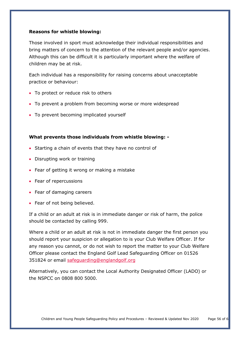## **Reasons for whistle blowing:**

Those involved in sport must acknowledge their individual responsibilities and bring matters of concern to the attention of the relevant people and/or agencies. Although this can be difficult it is particularly important where the welfare of children may be at risk.

Each individual has a responsibility for raising concerns about unacceptable practice or behaviour:

- To protect or reduce risk to others
- To prevent a problem from becoming worse or more widespread
- To prevent becoming implicated yourself

#### **What prevents those individuals from whistle blowing: -**

- Starting a chain of events that they have no control of
- Disrupting work or training
- Fear of getting it wrong or making a mistake
- Fear of repercussions
- Fear of damaging careers
- Fear of not being believed.

If a child or an adult at risk is in immediate danger or risk of harm, the police should be contacted by calling 999.

Where a child or an adult at risk is not in immediate danger the first person you should report your suspicion or allegation to is your Club Welfare Officer. If for any reason you cannot, or do not wish to report the matter to your Club Welfare Officer please contact the England Golf Lead Safeguarding Officer on 01526 351824 or email [safeguarding@englandgolf.org](mailto:safeguarding@englandgolf.org)

Alternatively, you can contact the Local Authority Designated Officer (LADO) or the NSPCC on 0808 800 5000.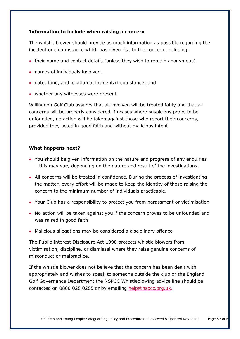## **Information to include when raising a concern**

The whistle blower should provide as much information as possible regarding the incident or circumstance which has given rise to the concern, including:

- their name and contact details (unless they wish to remain anonymous).
- names of individuals involved.
- date, time, and location of incident/circumstance; and
- whether any witnesses were present.

Willingdon Golf Club assures that all involved will be treated fairly and that all concerns will be properly considered. In cases where suspicions prove to be unfounded, no action will be taken against those who report their concerns, provided they acted in good faith and without malicious intent.

#### **What happens next?**

- You should be given information on the nature and progress of any enquiries – this may vary depending on the nature and result of the investigations.
- All concerns will be treated in confidence. During the process of investigating the matter, every effort will be made to keep the identity of those raising the concern to the minimum number of individuals practicable.
- Your Club has a responsibility to protect you from harassment or victimisation
- No action will be taken against you if the concern proves to be unfounded and was raised in good faith
- Malicious allegations may be considered a disciplinary offence

The Public Interest Disclosure Act 1998 protects whistle blowers from victimisation, discipline, or dismissal where they raise genuine concerns of misconduct or malpractice.

If the whistle blower does not believe that the concern has been dealt with appropriately and wishes to speak to someone outside the club or the England Golf Governance Department the NSPCC Whistleblowing advice line should be contacted on 0800 028 0285 or by emailing [help@nspcc.org.uk.](mailto:help@nspcc.org.uk)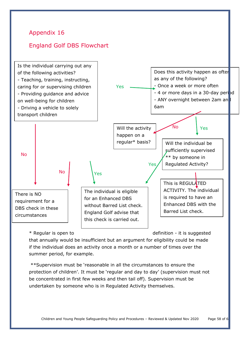<span id="page-57-0"></span>

\* Regular is open to definition - it is suggested

that annually would be insufficient but an argument for eligibility could be made if the individual does an activity once a month or a number of times over the summer period, for example.

\*\*Supervision must be 'reasonable in all the circumstances to ensure the protection of children'. It must be 'regular and day to day' (supervision must not be concentrated in first few weeks and then tail off). Supervision must be undertaken by someone who is in Regulated Activity themselves.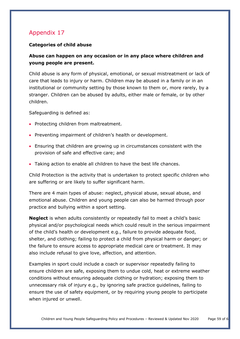## **Categories of child abuse**

# **Abuse can happen on any occasion or in any place where children and young people are present.**

Child abuse is any form of physical, emotional, or sexual mistreatment or lack of care that leads to injury or harm. Children may be abused in a family or in an institutional or community setting by those known to them or, more rarely, by a stranger. Children can be abused by adults, either male or female, or by other children.

Safeguarding is defined as:

- Protecting children from maltreatment.
- Preventing impairment of children's health or development.
- Ensuring that children are growing up in circumstances consistent with the provision of safe and effective care; and
- Taking action to enable all children to have the best life chances.

Child Protection is the activity that is undertaken to protect specific children who are suffering or are likely to suffer significant harm.

There are 4 main types of abuse: neglect, physical abuse, sexual abuse, and emotional abuse. Children and young people can also be harmed through poor practice and bullying within a sport setting.

**Neglect** is when adults consistently or repeatedly fail to meet a child's basic physical and/or psychological needs which could result in the serious impairment of the child's health or development e.g., failure to provide adequate food, shelter, and clothing; failing to protect a child from physical harm or danger; or the failure to ensure access to appropriate medical care or treatment. It may also include refusal to give love, affection, and attention.

Examples in sport could include a coach or supervisor repeatedly failing to ensure children are safe, exposing them to undue cold, heat or extreme weather conditions without ensuring adequate clothing or hydration; exposing them to unnecessary risk of injury e.g., by ignoring safe practice guidelines, failing to ensure the use of safety equipment, or by requiring young people to participate when injured or unwell.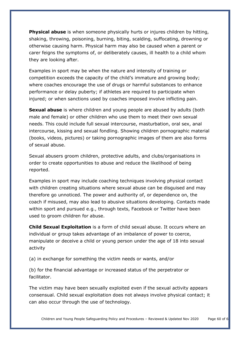**Physical abuse** is when someone physically hurts or injures children by hitting, shaking, throwing, poisoning, burning, biting, scalding, suffocating, drowning or otherwise causing harm. Physical harm may also be caused when a parent or carer feigns the symptoms of, or deliberately causes, ill health to a child whom they are looking after.

Examples in sport may be when the nature and intensity of training or competition exceeds the capacity of the child's immature and growing body; where coaches encourage the use of drugs or harmful substances to enhance performance or delay puberty; if athletes are required to participate when injured; or when sanctions used by coaches imposed involve inflicting pain.

**Sexual abuse** is where children and young people are abused by adults (both male and female) or other children who use them to meet their own sexual needs. This could include full sexual intercourse, masturbation, oral sex, anal intercourse, kissing and sexual fondling. Showing children pornographic material (books, videos, pictures) or taking pornographic images of them are also forms of sexual abuse.

Sexual abusers groom children, protective adults, and clubs/organisations in order to create opportunities to abuse and reduce the likelihood of being reported.

Examples in sport may include coaching techniques involving physical contact with children creating situations where sexual abuse can be disguised and may therefore go unnoticed. The power and authority of, or dependence on, the coach if misused, may also lead to abusive situations developing. Contacts made within sport and pursued e.g., through texts, Facebook or Twitter have been used to groom children for abuse.

**Child Sexual Exploitation** is a form of child sexual abuse. It occurs where an individual or group takes advantage of an imbalance of power to coerce, manipulate or deceive a child or young person under the age of 18 into sexual activity

(a) in exchange for something the victim needs or wants, and/or

(b) for the financial advantage or increased status of the perpetrator or facilitator.

The victim may have been sexually exploited even if the sexual activity appears consensual. Child sexual exploitation does not always involve physical contact; it can also occur through the use of technology.

Children and Young People Safeguarding Policy and Procedures – Reviewed & Updated Nov 2020 Page 60 of 69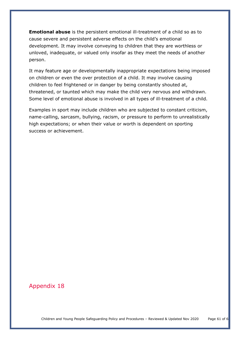**Emotional abuse** is the persistent emotional ill-treatment of a child so as to cause severe and persistent adverse effects on the child's emotional development. It may involve conveying to children that they are worthless or unloved, inadequate, or valued only insofar as they meet the needs of another person.

It may feature age or developmentally inappropriate expectations being imposed on children or even the over protection of a child. It may involve causing children to feel frightened or in danger by being constantly shouted at, threatened, or taunted which may make the child very nervous and withdrawn. Some level of emotional abuse is involved in all types of ill-treatment of a child.

Examples in sport may include children who are subjected to constant criticism, name-calling, sarcasm, bullying, racism, or pressure to perform to unrealistically high expectations; or when their value or worth is dependent on sporting success or achievement.

# <span id="page-60-0"></span>Appendix 18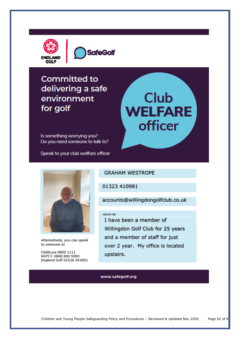



# **Committed to** delivering a safe environment for golf

# **Club WELFARE officer**

Is something worrying you? Do you need someone to talk to?

Speak to your club welfare officer



Alternatively, you can speak to someone at

**ChildLine 0800 1111** NSPCC 0808 800 5000 England Golf 01526 351851

## GRAHAM WESTROPE

01323 410981

accounts@willingdongolfclub.co.uk

#### ABOUT ME

I have been a member of Willingdon Golf Club for 25 years and a member of staff for just over 2 year. My office is located upstairs.

#### www.safegolf.org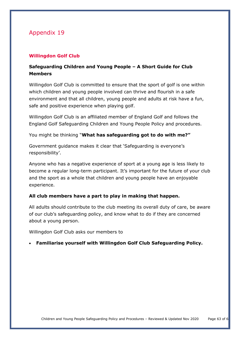## **Willingdon Golf Club**

# **Safeguarding Children and Young People – A Short Guide for Club Members**

Willingdon Golf Club is committed to ensure that the sport of golf is one within which children and young people involved can thrive and flourish in a safe environment and that all children, young people and adults at risk have a fun, safe and positive experience when playing golf.

Willingdon Golf Club is an affiliated member of England Golf and follows the England Golf Safeguarding Children and Young People Policy and procedures.

You might be thinking "**What has safeguarding got to do with me?"**

Government guidance makes it clear that 'Safeguarding is everyone's responsibility'.

Anyone who has a negative experience of sport at a young age is less likely to become a regular long-term participant. It's important for the future of your club and the sport as a whole that children and young people have an enjoyable experience.

## **All club members have a part to play in making that happen.**

All adults should contribute to the club meeting its overall duty of care, be aware of our club's safeguarding policy, and know what to do if they are concerned about a young person.

Willingdon Golf Club asks our members to

## • **Familiarise yourself with Willingdon Golf Club Safeguarding Policy.**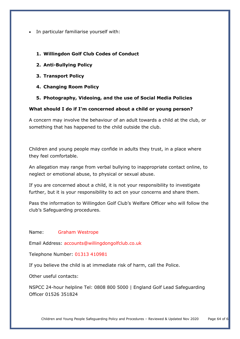• In particular familiarise yourself with:

## **1. Willingdon Golf Club Codes of Conduct**

- **2. Anti-Bullying Policy**
- **3. Transport Policy**
- **4. Changing Room Policy**

## **5. Photography, Videoing, and the use of Social Media Policies**

## **What should I do if I'm concerned about a child or young person?**

A concern may involve the behaviour of an adult towards a child at the club, or something that has happened to the child outside the club.

Children and young people may confide in adults they trust, in a place where they feel comfortable.

An allegation may range from verbal bullying to inappropriate contact online, to neglect or emotional abuse, to physical or sexual abuse.

If you are concerned about a child, it is not your responsibility to investigate further, but it is your responsibility to act on your concerns and share them.

Pass the information to Willingdon Golf Club's Welfare Officer who will follow the club's Safeguarding procedures.

Name: Graham Westrope

Email Address: accounts@willingdongolfclub.co.uk

Telephone Number: 01313 410981

If you believe the child is at immediate risk of harm, call the Police.

Other useful contacts:

NSPCC 24-hour helpline Tel: 0808 800 5000 | England Golf Lead Safeguarding Officer 01526 351824

Children and Young People Safeguarding Policy and Procedures - Reviewed & Updated Nov 2020 Page 64 of 6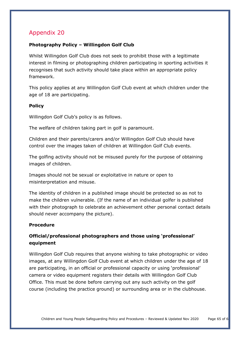# <span id="page-64-0"></span>**Photography Policy – Willingdon Golf Club**

Whilst Willingdon Golf Club does not seek to prohibit those with a legitimate interest in filming or photographing children participating in sporting activities it recognises that such activity should take place within an appropriate policy framework.

This policy applies at any Willingdon Golf Club event at which children under the age of 18 are participating.

# **Policy**

Willingdon Golf Club's policy is as follows.

The welfare of children taking part in golf is paramount.

Children and their parents/carers and/or Willingdon Golf Club should have control over the images taken of children at Willingdon Golf Club events.

The golfing activity should not be misused purely for the purpose of obtaining images of children.

Images should not be sexual or exploitative in nature or open to misinterpretation and misuse.

The identity of children in a published image should be protected so as not to make the children vulnerable. (If the name of an individual golfer is published with their photograph to celebrate an achievement other personal contact details should never accompany the picture).

## **Procedure**

# **Official/professional photographers and those using 'professional' equipment**

Willingdon Golf Club requires that anyone wishing to take photographic or video images, at any Willingdon Golf Club event at which children under the age of 18 are participating, in an official or professional capacity or using 'professional' camera or video equipment registers their details with Willingdon Golf Club Office. This must be done before carrying out any such activity on the golf course (including the practice ground) or surrounding area or in the clubhouse.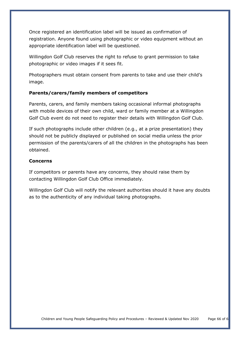Once registered an identification label will be issued as confirmation of registration. Anyone found using photographic or video equipment without an appropriate identification label will be questioned.

Willingdon Golf Club reserves the right to refuse to grant permission to take photographic or video images if it sees fit.

Photographers must obtain consent from parents to take and use their child's image.

## **Parents/carers/family members of competitors**

Parents, carers, and family members taking occasional informal photographs with mobile devices of their own child, ward or family member at a Willingdon Golf Club event do not need to register their details with Willingdon Golf Club.

If such photographs include other children (e.g., at a prize presentation) they should not be publicly displayed or published on social media unless the prior permission of the parents/carers of all the children in the photographs has been obtained.

#### **Concerns**

If competitors or parents have any concerns, they should raise them by contacting Willingdon Golf Club Office immediately.

Willingdon Golf Club will notify the relevant authorities should it have any doubts as to the authenticity of any individual taking photographs.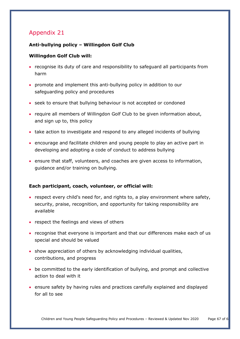## <span id="page-66-0"></span>**Anti-bullying policy – Willingdon Golf Club**

## **Willingdon Golf Club will:**

- recognise its duty of care and responsibility to safeguard all participants from harm
- promote and implement this anti-bullying policy in addition to our safeguarding policy and procedures
- seek to ensure that bullying behaviour is not accepted or condoned
- require all members of Willingdon Golf Club to be given information about, and sign up to, this policy
- take action to investigate and respond to any alleged incidents of bullying
- encourage and facilitate children and young people to play an active part in developing and adopting a code of conduct to address bullying
- ensure that staff, volunteers, and coaches are given access to information, guidance and/or training on bullying.

## **Each participant, coach, volunteer, or official will:**

- respect every child's need for, and rights to, a play environment where safety, security, praise, recognition, and opportunity for taking responsibility are available
- respect the feelings and views of others
- recognise that everyone is important and that our differences make each of us special and should be valued
- show appreciation of others by acknowledging individual qualities, contributions, and progress
- be committed to the early identification of bullying, and prompt and collective action to deal with it
- ensure safety by having rules and practices carefully explained and displayed for all to see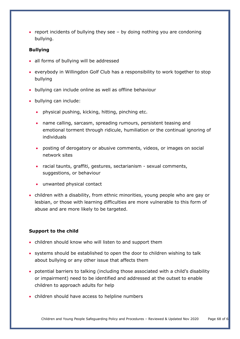• report incidents of bullying they see – by doing nothing you are condoning bullying.

## **Bullying**

- all forms of bullying will be addressed
- everybody in Willingdon Golf Club has a responsibility to work together to stop bullying
- bullying can include online as well as offline behaviour
- bullying can include:
	- physical pushing, kicking, hitting, pinching etc.
	- name calling, sarcasm, spreading rumours, persistent teasing and emotional torment through ridicule, humiliation or the continual ignoring of individuals
	- posting of derogatory or abusive comments, videos, or images on social network sites
	- racial taunts, graffiti, gestures, sectarianism sexual comments, suggestions, or behaviour
	- unwanted physical contact
- children with a disability, from ethnic minorities, young people who are gay or lesbian, or those with learning difficulties are more vulnerable to this form of abuse and are more likely to be targeted.

## **Support to the child**

- children should know who will listen to and support them
- systems should be established to open the door to children wishing to talk about bullying or any other issue that affects them
- potential barriers to talking (including those associated with a child's disability or impairment) need to be identified and addressed at the outset to enable children to approach adults for help
- children should have access to helpline numbers